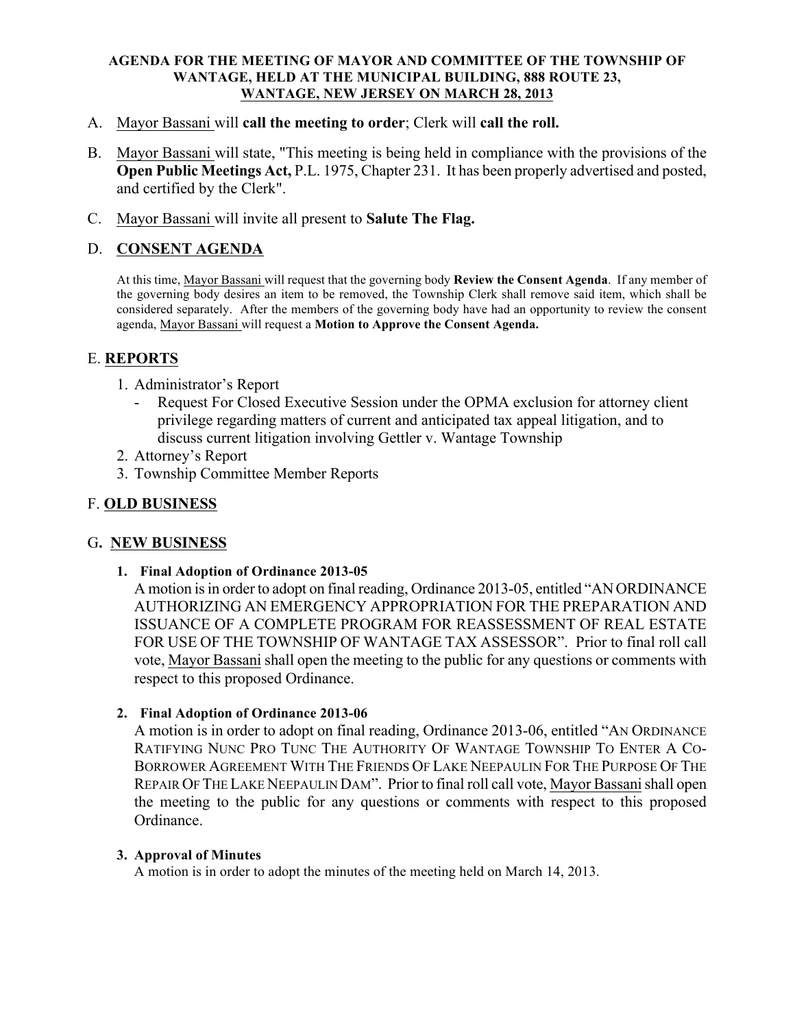#### AGENDA FOR THE MEETING OF MAYOR AND COMMITTEE OF THE TOWNSHIP OF WANTAGE, HELD AT THE MUNICIPAL BUILDING, 888 ROUTE 23, WANTAGE, NEW JERSEY ON MARCH 28, 2013

- A. Mayor Bassani will call the meeting to order; Clerk will call the roll.
- B. Mayor Bassani will state, "This meeting is being held in compliance with the provisions of the Open Public Meetings Act, P.L. 1975, Chapter 231. It has been properly advertised and posted, and certified by the Clerk".
- C. Mayor Bassani will invite all present to Salute The Flag.

# D. CONSENT AGENDA

At this time, Mayor Bassani will request that the governing body Review the Consent Agenda. If any member of the governing body desires an item to be removed, the Township Clerk shall remove said item, which shall be considered separately. After the members of the governing body have had an opportunity to review the consent agenda, Mayor Bassani will request a Motion to Approve the Consent Agenda.

# E. REPORTS

- 1. Administrator's Report
	- Request For Closed Executive Session under the OPMA exclusion for attorney client privilege regarding matters of current and anticipated tax appeal litigation, and to discuss current litigation involving Gettler v. Wantage Township
- 2. Attorney's Report
- 3. Township Committee Member Reports

# F. OLD BUSINESS

## G. NEW BUSINESS

1. Final Adoption of Ordinance 2013-05

A motion is in order to adopt on final reading, Ordinance 2013-05, entitled "ANORDINANCE AUTHORIZING AN EMERGENCY APPROPRIATION FOR THE PREPARATION AND ISSUANCE OF A COMPLETE PROGRAM FOR REASSESSMENT OF REAL ESTATE FOR USE OF THE TOWNSHIP OF WANTAGE TAX ASSESSOR". Prior to final roll call vote, Mayor Bassani shall open the meeting to the public for any questions or comments with respect to this proposed Ordinance.

## 2. Final Adoption of Ordinance 2013-06

A motion is in order to adopt on final reading, Ordinance 2013-06, entitled "AN ORDINANCE RATIFYING NUNC PRO TUNC THE AUTHORITY OF WANTAGE TOWNSHIP TO ENTER A CO-BORROWER AGREEMENT WITH THE FRIENDS OF LAKE NEEPAULIN FOR THE PURPOSE OF THE REPAIR OF THE LAKE NEEPAULIN DAM". Prior to final roll call vote, Mayor Bassanishall open the meeting to the public for any questions or comments with respect to this proposed Ordinance.

#### 3. Approval of Minutes

A motion is in order to adopt the minutes of the meeting held on March 14, 2013.